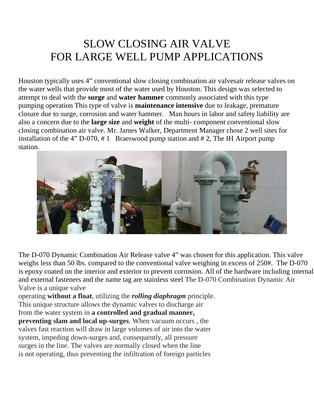## SLOW CLOSING AIR VALVE FOR LARGE WELL PUMP APPLICATIONS

Houston typically uses 4" conventional slow closing combination air valvesair release valves on the water wells that provide most of the water used by Houston. This design was selected to attempt to deal with the **surge** and **water hammer** commonly associated with this type pumping operation This type of valve is **maintenance intensive** due to leakage, premature closure due to surge, corrosion and water hammer. Man hours in labor and safety liability are also a concern due to the **large size** and **weight** of the multi- component conventional slow closing combination air valve. Mr. James Walker, Department Manager chose 2 well sites for installation of the 4" D-070, # 1 Braeswood pump station and # 2, The IH Airport pump station.



The D-070 Dynamic Combination Air Release valve 4" was chosen for this application. This valve weighs less than 50 lbs. compared to the conventional valve weighing in excess of 250#. The D-070 is epoxy coated on the interior and exterior to prevent corrosion. All of the hardware including internal and external fasteners and the name tag are stainless steel The D-070 Combination Dynamic Air Valve is a unique valve

operating **without a float**, utilizing the *rolling diaphragm* principle. This unique structure allows the dynamic valves to discharge air from the water system in **a controlled and gradual manner, preventing slam and local up-surges**. When vacuum occurs , the valves fast reaction will draw in large volumes of air into the water system, impeding down-surges and, consequently, all pressure surges in the line. The valves are normally closed when the line is not operating, thus preventing the infiltration of foreign particles